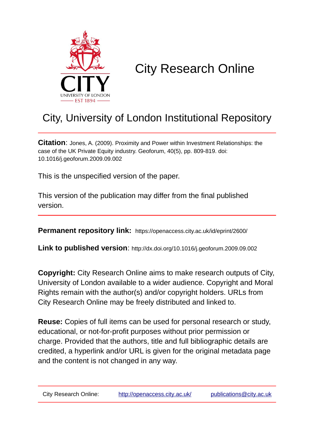

# City Research Online

## City, University of London Institutional Repository

**Citation**: Jones, A. (2009). Proximity and Power within Investment Relationships: the case of the UK Private Equity industry. Geoforum, 40(5), pp. 809-819. doi: 10.1016/j.geoforum.2009.09.002

This is the unspecified version of the paper.

This version of the publication may differ from the final published version.

**Permanent repository link:** https://openaccess.city.ac.uk/id/eprint/2600/

**Link to published version**: http://dx.doi.org/10.1016/j.geoforum.2009.09.002

**Copyright:** City Research Online aims to make research outputs of City, University of London available to a wider audience. Copyright and Moral Rights remain with the author(s) and/or copyright holders. URLs from City Research Online may be freely distributed and linked to.

**Reuse:** Copies of full items can be used for personal research or study, educational, or not-for-profit purposes without prior permission or charge. Provided that the authors, title and full bibliographic details are credited, a hyperlink and/or URL is given for the original metadata page and the content is not changed in any way.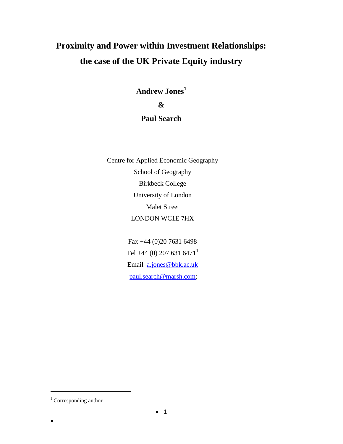## **Proximity and Power within Investment Relationships: the case of the UK Private Equity industry**

**Andrew Jones<sup>1</sup> & Paul Search** 

Centre for Applied Economic Geography School of Geography Birkbeck College University of London Malet Street LONDON WC1E 7HX

> Fax +44 (0)20 7631 6498 Tel +44 (0) 207 631 6471<sup>1</sup> Email [a.jones@bbk.ac.uk](mailto:a.jones@bbk.ac.uk) [paul.search@marsh.com;](mailto:paul.search@marsh.com)

 $\bullet$ 

 $\overline{a}$ 

<sup>&</sup>lt;sup>1</sup> Corresponding author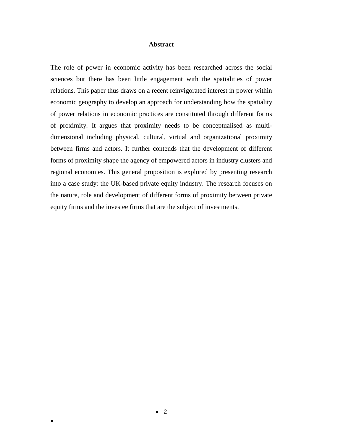### **Abstract**

The role of power in economic activity has been researched across the social sciences but there has been little engagement with the spatialities of power relations. This paper thus draws on a recent reinvigorated interest in power within economic geography to develop an approach for understanding how the spatiality of power relations in economic practices are constituted through different forms of proximity. It argues that proximity needs to be conceptualised as multidimensional including physical, cultural, virtual and organizational proximity between firms and actors. It further contends that the development of different forms of proximity shape the agency of empowered actors in industry clusters and regional economies. This general proposition is explored by presenting research into a case study: the UK-based private equity industry. The research focuses on the nature, role and development of different forms of proximity between private equity firms and the investee firms that are the subject of investments.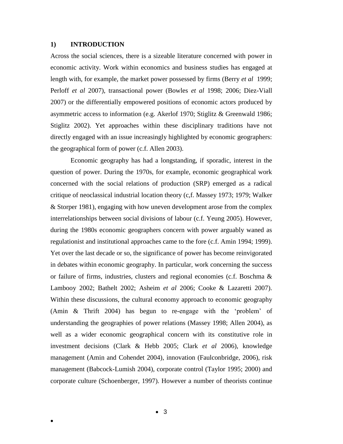### **1) INTRODUCTION**

 $\bullet$ 

Across the social sciences, there is a sizeable literature concerned with power in economic activity. Work within economics and business studies has engaged at length with, for example, the market power possessed by firms (Berry *et al* 1999; Perloff *et al* 2007), transactional power (Bowles *et al* 1998; 2006; Diez-Viall 2007) or the differentially empowered positions of economic actors produced by asymmetric access to information (e.g. Akerlof 1970; Stiglitz & Greenwald 1986; Stiglitz 2002). Yet approaches within these disciplinary traditions have not directly engaged with an issue increasingly highlighted by economic geographers: the geographical form of power (c.f. Allen 2003).

Economic geography has had a longstanding, if sporadic, interest in the question of power. During the 1970s, for example, economic geographical work concerned with the social relations of production (SRP) emerged as a radical critique of neoclassical industrial location theory (c,f. Massey 1973; 1979; Walker & Storper 1981), engaging with how uneven development arose from the complex interrelationships between social divisions of labour (c.f. Yeung 2005). However, during the 1980s economic geographers concern with power arguably waned as regulationist and institutional approaches came to the fore (c.f. Amin 1994; 1999). Yet over the last decade or so, the significance of power has become reinvigorated in debates within economic geography. In particular, work concerning the success or failure of firms, industries, clusters and regional economies (c.f. Boschma  $\&$ Lambooy 2002; Bathelt 2002; Asheim *et al* 2006; Cooke & Lazaretti 2007). Within these discussions, the cultural economy approach to economic geography (Amin & Thrift 2004) has begun to re-engage with the 'problem' of understanding the geographies of power relations (Massey 1998; Allen 2004), as well as a wider economic geographical concern with its constitutive role in investment decisions (Clark & Hebb 2005; Clark *et al* 2006), knowledge management (Amin and Cohendet 2004), innovation (Faulconbridge, 2006), risk management (Babcock-Lumish 2004), corporate control (Taylor 1995; 2000) and corporate culture (Schoenberger, 1997). However a number of theorists continue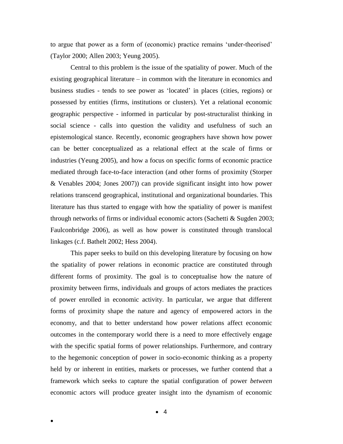to argue that power as a form of (economic) practice remains 'under-theorised' (Taylor 2000; Allen 2003; Yeung 2005).

Central to this problem is the issue of the spatiality of power. Much of the existing geographical literature – in common with the literature in economics and business studies - tends to see power as 'located' in places (cities, regions) or possessed by entities (firms, institutions or clusters). Yet a relational economic geographic perspective - informed in particular by post-structuralist thinking in social science - calls into question the validity and usefulness of such an epistemological stance. Recently, economic geographers have shown how power can be better conceptualized as a relational effect at the scale of firms or industries (Yeung 2005), and how a focus on specific forms of economic practice mediated through face-to-face interaction (and other forms of proximity (Storper & Venables 2004; Jones 2007)) can provide significant insight into how power relations transcend geographical, institutional and organizational boundaries. This literature has thus started to engage with how the spatiality of power is manifest through networks of firms or individual economic actors (Sachetti & Sugden 2003; Faulconbridge 2006), as well as how power is constituted through translocal linkages (c.f. Bathelt 2002; Hess 2004).

This paper seeks to build on this developing literature by focusing on how the spatiality of power relations in economic practice are constituted through different forms of proximity. The goal is to conceptualise how the nature of proximity between firms, individuals and groups of actors mediates the practices of power enrolled in economic activity. In particular, we argue that different forms of proximity shape the nature and agency of empowered actors in the economy, and that to better understand how power relations affect economic outcomes in the contemporary world there is a need to more effectively engage with the specific spatial forms of power relationships. Furthermore, and contrary to the hegemonic conception of power in socio-economic thinking as a property held by or inherent in entities, markets or processes, we further contend that a framework which seeks to capture the spatial configuration of power *between* economic actors will produce greater insight into the dynamism of economic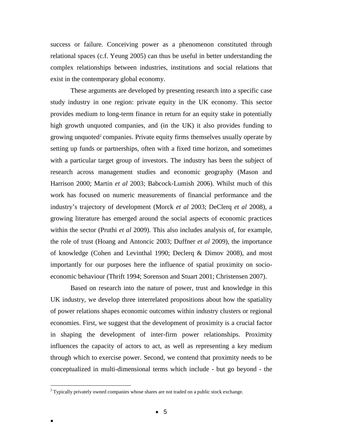success or failure. Conceiving power as a phenomenon constituted through relational spaces (c.f. Yeung 2005) can thus be useful in better understanding the complex relationships between industries, institutions and social relations that exist in the contemporary global economy.

These arguments are developed by presenting research into a specific case study industry in one region: private equity in the UK economy. This sector provides medium to long-term finance in return for an equity stake in potentially high growth unquoted companies, and (in the UK) it also provides funding to growing unquoted<sup>2</sup> companies. Private equity firms themselves usually operate by setting up funds or partnerships, often with a fixed time horizon, and sometimes with a particular target group of investors. The industry has been the subject of research across management studies and economic geography (Mason and Harrison 2000; Martin *et al* 2003; Babcock-Lumish 2006). Whilst much of this work has focused on numeric measurements of financial performance and the industry's trajectory of development (Morck *et al* 2003; DeClerq *et al* 2008), a growing literature has emerged around the social aspects of economic practices within the sector (Pruthi *et al* 2009). This also includes analysis of, for example, the role of trust (Hoang and Antoncic 2003; Duffner *et al* 2009), the importance of knowledge (Cohen and Levinthal 1990; Declerq & Dimov 2008), and most importantly for our purposes here the influence of spatial proximity on socioeconomic behaviour (Thrift 1994; Sorenson and Stuart 2001; Christensen 2007).

Based on research into the nature of power, trust and knowledge in this UK industry, we develop three interrelated propositions about how the spatiality of power relations shapes economic outcomes within industry clusters or regional economies. First, we suggest that the development of proximity is a crucial factor in shaping the development of inter-firm power relationships. Proximity influences the capacity of actors to act, as well as representing a key medium through which to exercise power. Second, we contend that proximity needs to be conceptualized in multi-dimensional terms which include - but go beyond - the

 $\bullet$ 

 $\overline{a}$ 

 $2$  Typically privately owned companies whose shares are not traded on a public stock exchange.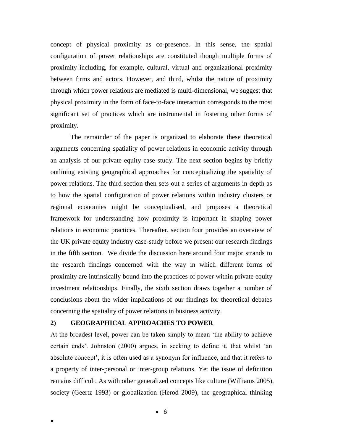concept of physical proximity as co-presence. In this sense, the spatial configuration of power relationships are constituted though multiple forms of proximity including, for example, cultural, virtual and organizational proximity between firms and actors. However, and third, whilst the nature of proximity through which power relations are mediated is multi-dimensional, we suggest that physical proximity in the form of face-to-face interaction corresponds to the most significant set of practices which are instrumental in fostering other forms of proximity.

The remainder of the paper is organized to elaborate these theoretical arguments concerning spatiality of power relations in economic activity through an analysis of our private equity case study. The next section begins by briefly outlining existing geographical approaches for conceptualizing the spatiality of power relations. The third section then sets out a series of arguments in depth as to how the spatial configuration of power relations within industry clusters or regional economies might be conceptualised, and proposes a theoretical framework for understanding how proximity is important in shaping power relations in economic practices. Thereafter, section four provides an overview of the UK private equity industry case-study before we present our research findings in the fifth section. We divide the discussion here around four major strands to the research findings concerned with the way in which different forms of proximity are intrinsically bound into the practices of power within private equity investment relationships. Finally, the sixth section draws together a number of conclusions about the wider implications of our findings for theoretical debates concerning the spatiality of power relations in business activity.

## **2) GEOGRAPHICAL APPROACHES TO POWER**

 $\bullet$ 

At the broadest level, power can be taken simply to mean 'the ability to achieve certain ends'. Johnston (2000) argues, in seeking to define it, that whilst 'an absolute concept', it is often used as a synonym for influence, and that it refers to a property of inter-personal or inter-group relations. Yet the issue of definition remains difficult. As with other generalized concepts like culture (Williams 2005), society (Geertz 1993) or globalization (Herod 2009), the geographical thinking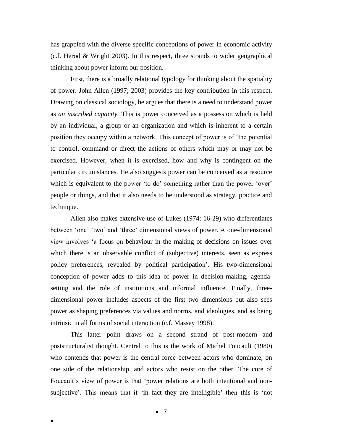has grappled with the diverse specific conceptions of power in economic activity (c.f. Herod & Wright 2003). In this respect, three strands to wider geographical thinking about power inform our position.

First, there is a broadly relational typology for thinking about the spatiality of power. John Allen (1997; 2003) provides the key contribution in this respect. Drawing on classical sociology, he argues that there is a need to understand power as *an inscribed capacity.* This is power conceived as a possession which is held by an individual, a group or an organization and which is inherent to a certain position they occupy within a network. This concept of power is of 'the potential to control, command or direct the actions of others which may or may not be exercised. However, when it is exercised, how and why is contingent on the particular circumstances. He also suggests power can be conceived as a resource which is equivalent to the power 'to do' something rather than the power 'over' people or things, and that it also needs to be understood as strategy, practice and technique.

Allen also makes extensive use of Lukes (1974: 16-29) who differentiates between 'one' 'two' and 'three' dimensional views of power. A one-dimensional view involves 'a focus on behaviour in the making of decisions on issues over which there is an observable conflict of (subjective) interests, seen as express policy preferences, revealed by political participation'. His two-dimensional conception of power adds to this idea of power in decision-making, agendasetting and the role of institutions and informal influence. Finally, threedimensional power includes aspects of the first two dimensions but also sees power as shaping preferences via values and norms, and ideologies, and as being intrinsic in all forms of social interaction (c.f. Massey 1998).

This latter point draws on a second strand of post-modern and poststructuralist thought. Central to this is the work of Michel Foucault (1980) who contends that power is the central force between actors who dominate, on one side of the relationship, and actors who resist on the other. The core of Foucault's view of power is that 'power relations are both intentional and nonsubjective'. This means that if 'in fact they are intelligible' then this is 'not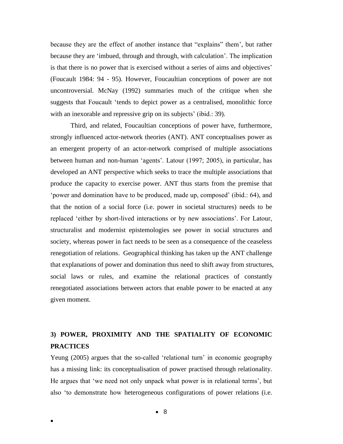because they are the effect of another instance that "explains" them', but rather because they are 'imbued, through and through, with calculation'. The implication is that there is no power that is exercised without a series of aims and objectives' (Foucault 1984: 94 - 95). However, Foucaultian conceptions of power are not uncontroversial. McNay (1992) summaries much of the critique when she suggests that Foucault 'tends to depict power as a centralised, monolithic force with an inexorable and repressive grip on its subjects' (ibid.: 39).

Third, and related, Foucaultian conceptions of power have, furthermore, strongly influenced actor-network theories (ANT). ANT conceptualises power as an emergent property of an actor-network comprised of multiple associations between human and non-human 'agents'. Latour (1997; 2005), in particular, has developed an ANT perspective which seeks to trace the multiple associations that produce the capacity to exercise power. ANT thus starts from the premise that 'power and domination have to be produced, made up, composed' (ibid.: 64), and that the notion of a social force (i.e. power in societal structures) needs to be replaced 'either by short-lived interactions or by new associations'. For Latour, structuralist and modernist epistemologies see power in social structures and society, whereas power in fact needs to be seen as a consequence of the ceaseless renegotiation of relations. Geographical thinking has taken up the ANT challenge that explanations of power and domination thus need to shift away from structures, social laws or rules, and examine the relational practices of constantly renegotiated associations between actors that enable power to be enacted at any given moment.

## **3) POWER, PROXIMITY AND THE SPATIALITY OF ECONOMIC PRACTICES**

Yeung (2005) argues that the so-called 'relational turn' in economic geography has a missing link: its conceptualisation of power practised through relationality. He argues that 'we need not only unpack what power is in relational terms', but also 'to demonstrate how heterogeneous configurations of power relations (i.e.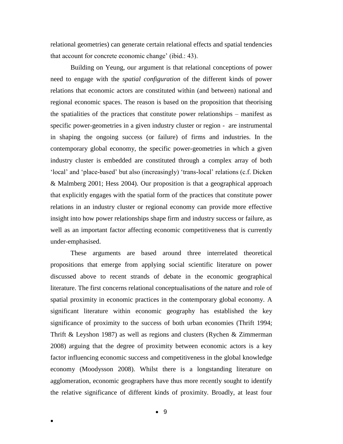relational geometries) can generate certain relational effects and spatial tendencies that account for concrete economic change' (ibid.: 43).

Building on Yeung, our argument is that relational conceptions of power need to engage with the *spatial configuration* of the different kinds of power relations that economic actors are constituted within (and between) national and regional economic spaces. The reason is based on the proposition that theorising the spatialities of the practices that constitute power relationships – manifest as specific power-geometries in a given industry cluster or region - are instrumental in shaping the ongoing success (or failure) of firms and industries. In the contemporary global economy, the specific power-geometries in which a given industry cluster is embedded are constituted through a complex array of both 'local' and 'place-based' but also (increasingly) 'trans-local' relations (c.f. Dicken & Malmberg 2001; Hess 2004). Our proposition is that a geographical approach that explicitly engages with the spatial form of the practices that constitute power relations in an industry cluster or regional economy can provide more effective insight into how power relationships shape firm and industry success or failure, as well as an important factor affecting economic competitiveness that is currently under-emphasised.

These arguments are based around three interrelated theoretical propositions that emerge from applying social scientific literature on power discussed above to recent strands of debate in the economic geographical literature. The first concerns relational conceptualisations of the nature and role of spatial proximity in economic practices in the contemporary global economy. A significant literature within economic geography has established the key significance of proximity to the success of both urban economies (Thrift 1994; Thrift & Leyshon 1987) as well as regions and clusters (Rychen & Zimmerman 2008) arguing that the degree of proximity between economic actors is a key factor influencing economic success and competitiveness in the global knowledge economy (Moodysson 2008). Whilst there is a longstanding literature on agglomeration, economic geographers have thus more recently sought to identify the relative significance of different kinds of proximity. Broadly, at least four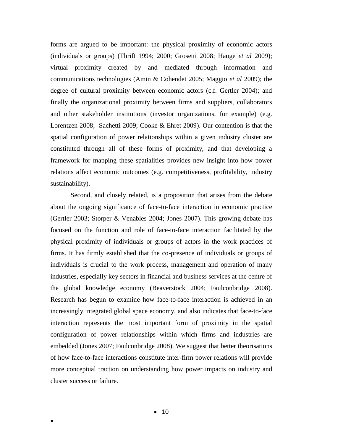forms are argued to be important: the physical proximity of economic actors (individuals or groups) (Thrift 1994; 2000; Grosetti 2008; Hauge *et al* 2009); virtual proximity created by and mediated through information and communications technologies (Amin & Cohendet 2005; Maggio *et al* 2009); the degree of cultural proximity between economic actors (c.f. Gertler 2004); and finally the organizational proximity between firms and suppliers, collaborators and other stakeholder institutions (investor organizations, for example) (e.g. Lorentzen 2008; Sachetti 2009; Cooke & Ehret 2009). Our contention is that the spatial configuration of power relationships within a given industry cluster are constituted through all of these forms of proximity, and that developing a framework for mapping these spatialities provides new insight into how power relations affect economic outcomes (e.g. competitiveness, profitability, industry sustainability).

Second, and closely related, is a proposition that arises from the debate about the ongoing significance of face-to-face interaction in economic practice (Gertler 2003; Storper & Venables 2004; Jones 2007). This growing debate has focused on the function and role of face-to-face interaction facilitated by the physical proximity of individuals or groups of actors in the work practices of firms. It has firmly established that the co-presence of individuals or groups of individuals is crucial to the work process, management and operation of many industries, especially key sectors in financial and business services at the centre of the global knowledge economy (Beaverstock 2004; Faulconbridge 2008). Research has begun to examine how face-to-face interaction is achieved in an increasingly integrated global space economy, and also indicates that face-to-face interaction represents the most important form of proximity in the spatial configuration of power relationships within which firms and industries are embedded (Jones 2007; Faulconbridge 2008). We suggest that better theorisations of how face-to-face interactions constitute inter-firm power relations will provide more conceptual traction on understanding how power impacts on industry and cluster success or failure.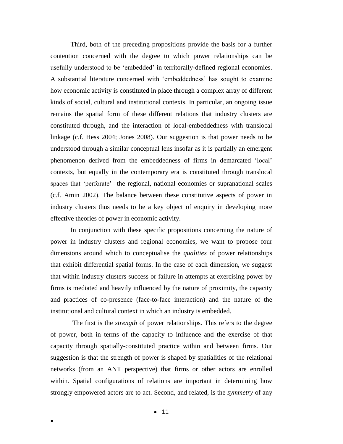Third, both of the preceding propositions provide the basis for a further contention concerned with the degree to which power relationships can be usefully understood to be 'embedded' in territorally-defined regional economies. A substantial literature concerned with 'embeddedness' has sought to examine how economic activity is constituted in place through a complex array of different kinds of social, cultural and institutional contexts. In particular, an ongoing issue remains the spatial form of these different relations that industry clusters are constituted through, and the interaction of local-embeddedness with translocal linkage (c.f. Hess 2004; Jones 2008). Our suggestion is that power needs to be understood through a similar conceptual lens insofar as it is partially an emergent phenomenon derived from the embeddedness of firms in demarcated 'local' contexts, but equally in the contemporary era is constituted through translocal spaces that 'perforate' the regional, national economies or supranational scales (c.f. Amin 2002). The balance between these constitutive aspects of power in industry clusters thus needs to be a key object of enquiry in developing more effective theories of power in economic activity.

In conjunction with these specific propositions concerning the nature of power in industry clusters and regional economies, we want to propose four dimensions around which to conceptualise the *qualities* of power relationships that exhibit differential spatial forms. In the case of each dimension, we suggest that within industry clusters success or failure in attempts at exercising power by firms is mediated and heavily influenced by the nature of proximity, the capacity and practices of co-presence (face-to-face interaction) and the nature of the institutional and cultural context in which an industry is embedded.

The first is the *strength* of power relationships. This refers to the degree of power, both in terms of the capacity to influence and the exercise of that capacity through spatially-constituted practice within and between firms. Our suggestion is that the strength of power is shaped by spatialities of the relational networks (from an ANT perspective) that firms or other actors are enrolled within. Spatial configurations of relations are important in determining how strongly empowered actors are to act. Second, and related, is the *symmetry* of any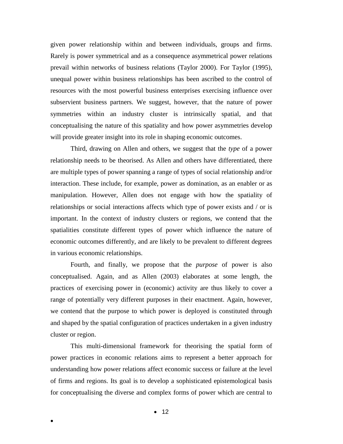given power relationship within and between individuals, groups and firms. Rarely is power symmetrical and as a consequence asymmetrical power relations prevail within networks of business relations (Taylor 2000). For Taylor (1995), unequal power within business relationships has been ascribed to the control of resources with the most powerful business enterprises exercising influence over subservient business partners. We suggest, however, that the nature of power symmetries within an industry cluster is intrinsically spatial, and that conceptualising the nature of this spatiality and how power asymmetries develop will provide greater insight into its role in shaping economic outcomes.

Third, drawing on Allen and others, we suggest that the *type* of a power relationship needs to be theorised. As Allen and others have differentiated, there are multiple types of power spanning a range of types of social relationship and/or interaction. These include, for example, power as domination, as an enabler or as manipulation. However, Allen does not engage with how the spatiality of relationships or social interactions affects which type of power exists and / or is important. In the context of industry clusters or regions, we contend that the spatialities constitute different types of power which influence the nature of economic outcomes differently, and are likely to be prevalent to different degrees in various economic relationships.

Fourth, and finally, we propose that the *purpose* of power is also conceptualised. Again, and as Allen (2003) elaborates at some length, the practices of exercising power in (economic) activity are thus likely to cover a range of potentially very different purposes in their enactment. Again, however, we contend that the purpose to which power is deployed is constituted through and shaped by the spatial configuration of practices undertaken in a given industry cluster or region.

This multi-dimensional framework for theorising the spatial form of power practices in economic relations aims to represent a better approach for understanding how power relations affect economic success or failure at the level of firms and regions. Its goal is to develop a sophisticated epistemological basis for conceptualising the diverse and complex forms of power which are central to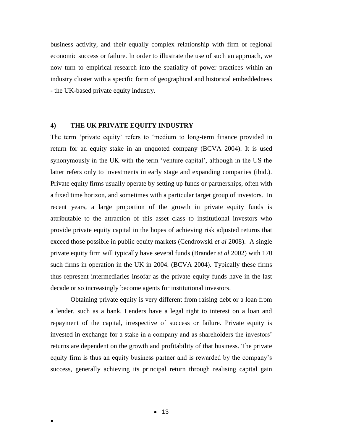business activity, and their equally complex relationship with firm or regional economic success or failure. In order to illustrate the use of such an approach, we now turn to empirical research into the spatiality of power practices within an industry cluster with a specific form of geographical and historical embeddedness - the UK-based private equity industry.

#### **4) THE UK PRIVATE EQUITY INDUSTRY**

The term 'private equity' refers to 'medium to long-term finance provided in return for an equity stake in an unquoted company (BCVA 2004). It is used synonymously in the UK with the term 'venture capital', although in the US the latter refers only to investments in early stage and expanding companies (ibid.). Private equity firms usually operate by setting up funds or partnerships, often with a fixed time horizon, and sometimes with a particular target group of investors. In recent years, a large proportion of the growth in private equity funds is attributable to the attraction of this asset class to institutional investors who provide private equity capital in the hopes of achieving risk adjusted returns that exceed those possible in public equity markets (Cendrowski *et al* 2008). A single private equity firm will typically have several funds (Brander *et al* 2002) with 170 such firms in operation in the UK in 2004. (BCVA 2004). Typically these firms thus represent intermediaries insofar as the private equity funds have in the last decade or so increasingly become agents for institutional investors.

Obtaining private equity is very different from raising debt or a loan from a lender, such as a bank. Lenders have a legal right to interest on a loan and repayment of the capital, irrespective of success or failure. Private equity is invested in exchange for a stake in a company and as shareholders the investors' returns are dependent on the growth and profitability of that business. The private equity firm is thus an equity business partner and is rewarded by the company's success, generally achieving its principal return through realising capital gain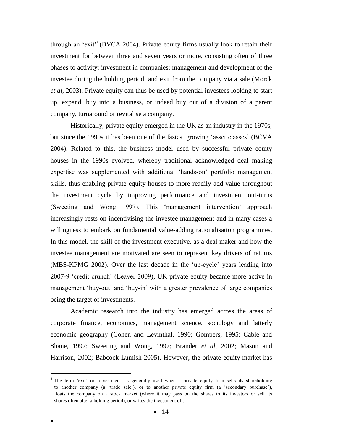through an 'exit'<sup>3</sup> (BVCA 2004). Private equity firms usually look to retain their investment for between three and seven years or more, consisting often of three phases to activity: investment in companies; management and development of the investee during the holding period; and exit from the company via a sale (Morck *et al*, 2003). Private equity can thus be used by potential investees looking to start up, expand, buy into a business, or indeed buy out of a division of a parent company, turnaround or revitalise a company.

Historically, private equity emerged in the UK as an industry in the 1970s, but since the 1990s it has been one of the fastest growing 'asset classes' (BCVA 2004). Related to this, the business model used by successful private equity houses in the 1990s evolved, whereby traditional acknowledged deal making expertise was supplemented with additional 'hands-on' portfolio management skills, thus enabling private equity houses to more readily add value throughout the investment cycle by improving performance and investment out-turns (Sweeting and Wong 1997). This 'management intervention' approach increasingly rests on incentivising the investee management and in many cases a willingness to embark on fundamental value-adding rationalisation programmes. In this model, the skill of the investment executive, as a deal maker and how the investee management are motivated are seen to represent key drivers of returns (MBS-KPMG 2002). Over the last decade in the 'up-cycle' years leading into 2007-9 'credit crunch' (Leaver 2009), UK private equity became more active in management 'buy-out' and 'buy-in' with a greater prevalence of large companies being the target of investments.

Academic research into the industry has emerged across the areas of corporate finance, economics, management science, sociology and latterly economic geography (Cohen and Levinthal, 1990; Gompers, 1995; Cable and Shane, 1997; Sweeting and Wong, 1997; Brander *et al*, 2002; Mason and Harrison, 2002; Babcock-Lumish 2005). However, the private equity market has

 $\overline{a}$ 

<sup>&</sup>lt;sup>3</sup> The term 'exit' or 'divestment' is generally used when a private equity firm sells its shareholding to another company (a 'trade sale'), or to another private equity firm (a 'secondary purchase'), floats the company on a stock market (where it may pass on the shares to its investors or sell its shares often after a holding period), or writes the investment off.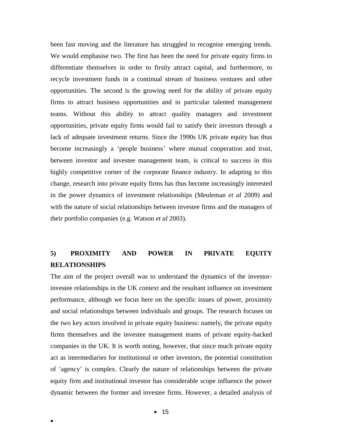been fast moving and the literature has struggled to recognise emerging trends. We would emphasise two. The first has been the need for private equity firms to differentiate themselves in order to firstly attract capital, and furthermore, to recycle investment funds in a continual stream of business ventures and other opportunities. The second is the growing need for the ability of private equity firms to attract business opportunities and in particular talented management teams. Without this ability to attract quality managers and investment opportunities, private equity firms would fail to satisfy their investors through a lack of adequate investment returns. Since the 1990s UK private equity has thus become increasingly a 'people business' where mutual cooperation and trust, between investor and investee management team, is critical to success in this highly competitive corner of the corporate finance industry. In adapting to this change, research into private equity firms has thus become increasingly interested in the power dynamics of investment relationships (Meuleman *et al* 2009) and with the nature of social relationships between investee firms and the managers of their portfolio companies (e.g. Watson *et al* 2003).

## **5) PROXIMITY AND POWER IN PRIVATE EQUITY RELATIONSHIPS**

The aim of the project overall was to understand the dynamics of the investorinvestee relationships in the UK context and the resultant influence on investment performance, although we focus here on the specific issues of power, proximity and social relationships between individuals and groups. The research focuses on the two key actors involved in private equity business: namely, the private equity firms themselves and the investee management teams of private equity-backed companies in the UK. It is worth noting, however, that since much private equity act as intermediaries for institutional or other investors, the potential constitution of 'agency' is complex. Clearly the nature of relationships between the private equity firm and institutional investor has considerable scope influence the power dynamic between the former and investee firms. However, a detailed analysis of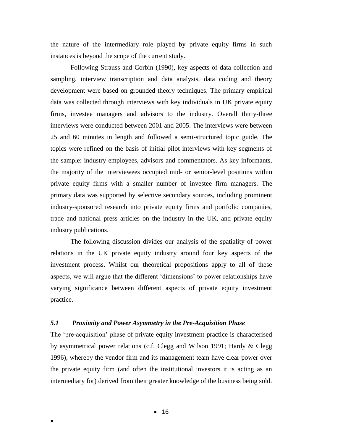the nature of the intermediary role played by private equity firms in such instances is beyond the scope of the current study.

Following Strauss and Corbin (1990), key aspects of data collection and sampling, interview transcription and data analysis, data coding and theory development were based on grounded theory techniques. The primary empirical data was collected through interviews with key individuals in UK private equity firms, investee managers and advisors to the industry. Overall thirty-three interviews were conducted between 2001 and 2005. The interviews were between 25 and 60 minutes in length and followed a semi-structured topic guide. The topics were refined on the basis of initial pilot interviews with key segments of the sample: industry employees, advisors and commentators. As key informants, the majority of the interviewees occupied mid- or senior-level positions within private equity firms with a smaller number of investee firm managers. The primary data was supported by selective secondary sources, including prominent industry-sponsored research into private equity firms and portfolio companies, trade and national press articles on the industry in the UK, and private equity industry publications.

The following discussion divides our analysis of the spatiality of power relations in the UK private equity industry around four key aspects of the investment process. Whilst our theoretical propositions apply to all of these aspects, we will argue that the different 'dimensions' to power relationships have varying significance between different aspects of private equity investment practice.

## *5.1 Proximity and Power Asymmetry in the Pre-Acquisition Phase*

The 'pre-acquisition' phase of private equity investment practice is characterised by asymmetrical power relations (c.f. Clegg and Wilson 1991; Hardy & Clegg 1996), whereby the vendor firm and its management team have clear power over the private equity firm (and often the institutional investors it is acting as an intermediary for) derived from their greater knowledge of the business being sold.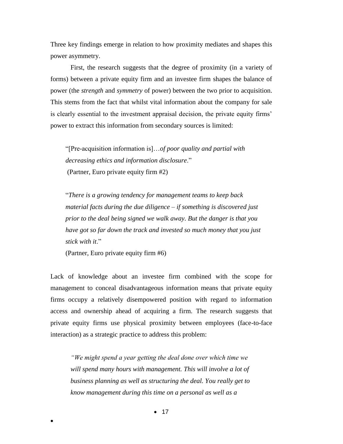Three key findings emerge in relation to how proximity mediates and shapes this power asymmetry.

First, the research suggests that the degree of proximity (in a variety of forms) between a private equity firm and an investee firm shapes the balance of power (the *strength* and *symmetry* of power) between the two prior to acquisition. This stems from the fact that whilst vital information about the company for sale is clearly essential to the investment appraisal decision, the private equity firms' power to extract this information from secondary sources is limited:

"[Pre-acquisition information is]…*of poor quality and partial with decreasing ethics and information disclosure*." (Partner, Euro private equity firm #2)

"*There is a growing tendency for management teams to keep back material facts during the due diligence – if something is discovered just prior to the deal being signed we walk away. But the danger is that you have got so far down the track and invested so much money that you just stick with it*."

(Partner, Euro private equity firm #6)

 $\bullet$ 

Lack of knowledge about an investee firm combined with the scope for management to conceal disadvantageous information means that private equity firms occupy a relatively disempowered position with regard to information access and ownership ahead of acquiring a firm. The research suggests that private equity firms use physical proximity between employees (face-to-face interaction) as a strategic practice to address this problem:

*"We might spend a year getting the deal done over which time we*  will spend many hours with management. This will involve a lot of *business planning as well as structuring the deal. You really get to know management during this time on a personal as well as a* 

 $• 17$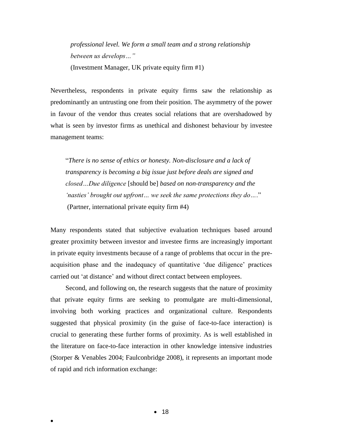*professional level. We form a small team and a strong relationship between us develops…"*  (Investment Manager, UK private equity firm #1)

Nevertheless, respondents in private equity firms saw the relationship as predominantly an untrusting one from their position. The asymmetry of the power in favour of the vendor thus creates social relations that are overshadowed by what is seen by investor firms as unethical and dishonest behaviour by investee management teams:

"*There is no sense of ethics or honesty. Non-disclosure and a lack of transparency is becoming a big issue just before deals are signed and closed…Due diligence* [should be] *based on non-transparency and the 'nasties' brought out upfront… we seek the same protections they do…*." (Partner, international private equity firm #4)

Many respondents stated that subjective evaluation techniques based around greater proximity between investor and investee firms are increasingly important in private equity investments because of a range of problems that occur in the preacquisition phase and the inadequacy of quantitative 'due diligence' practices carried out 'at distance' and without direct contact between employees.

Second, and following on, the research suggests that the nature of proximity that private equity firms are seeking to promulgate are multi-dimensional, involving both working practices and organizational culture. Respondents suggested that physical proximity (in the guise of face-to-face interaction) is crucial to generating these further forms of proximity. As is well established in the literature on face-to-face interaction in other knowledge intensive industries (Storper & Venables 2004; Faulconbridge 2008), it represents an important mode of rapid and rich information exchange: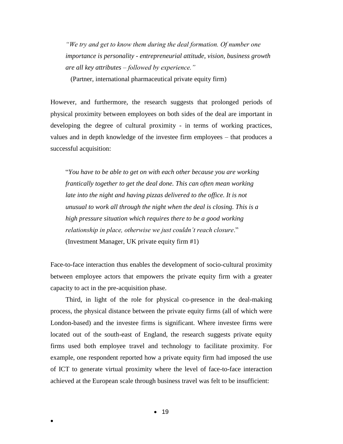*"We try and get to know them during the deal formation. Of number one importance is personality - entrepreneurial attitude, vision, business growth are all key attributes – followed by experience."* 

(Partner, international pharmaceutical private equity firm)

However, and furthermore, the research suggests that prolonged periods of physical proximity between employees on both sides of the deal are important in developing the degree of cultural proximity - in terms of working practices, values and in depth knowledge of the investee firm employees – that produces a successful acquisition:

"*You have to be able to get on with each other because you are working frantically together to get the deal done. This can often mean working*  late into the night and having pizzas delivered to the office. It is not *unusual to work all through the night when the deal is closing. This is a high pressure situation which requires there to be a good working relationship in place, otherwise we just couldn't reach closure*." (Investment Manager, UK private equity firm #1)

Face-to-face interaction thus enables the development of socio-cultural proximity between employee actors that empowers the private equity firm with a greater capacity to act in the pre-acquisition phase.

Third, in light of the role for physical co-presence in the deal-making process, the physical distance between the private equity firms (all of which were London-based) and the investee firms is significant. Where investee firms were located out of the south-east of England, the research suggests private equity firms used both employee travel and technology to facilitate proximity. For example, one respondent reported how a private equity firm had imposed the use of ICT to generate virtual proximity where the level of face-to-face interaction achieved at the European scale through business travel was felt to be insufficient: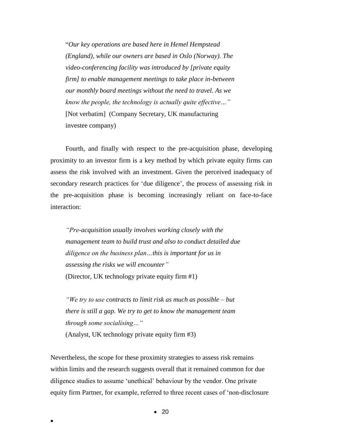"*Our key operations are based here in Hemel Hempstead (England), while our owners are based in Oslo (Norway). The video-conferencing facility was introduced by [private equity firm] to enable management meetings to take place in-between our monthly board meetings without the need to travel. As we know the people, the technology is actually quite effective…"* [Not verbatim] (Company Secretary, UK manufacturing investee company)

Fourth, and finally with respect to the pre-acquisition phase, developing proximity to an investor firm is a key method by which private equity firms can assess the risk involved with an investment. Given the perceived inadequacy of secondary research practices for 'due diligence', the process of assessing risk in the pre-acquisition phase is becoming increasingly reliant on face-to-face interaction:

*"Pre-acquisition usually involves working closely with the management team to build trust and also to conduct detailed due diligence on the business plan…this is important for us in assessing the risks we will encounter"* (Director, UK technology private equity firm #1)

*"We try to use contracts to limit risk as much as possible – but there is still a gap. We try to get to know the management team through some socialising…"*

(Analyst, UK technology private equity firm #3)

 $\bullet$ 

Nevertheless, the scope for these proximity strategies to assess risk remains within limits and the research suggests overall that it remained common for due diligence studies to assume 'unethical' behaviour by the vendor. One private equity firm Partner, for example, referred to three recent cases of 'non-disclosure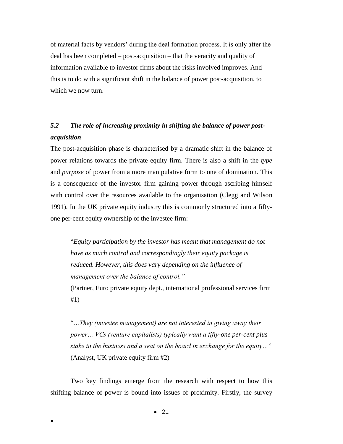of material facts by vendors' during the deal formation process. It is only after the deal has been completed – post-acquisition – that the veracity and quality of information available to investor firms about the risks involved improves. And this is to do with a significant shift in the balance of power post-acquisition, to which we now turn.

## *5.2 The role of increasing proximity in shifting the balance of power postacquisition*

The post-acquisition phase is characterised by a dramatic shift in the balance of power relations towards the private equity firm. There is also a shift in the *type* and *purpose* of power from a more manipulative form to one of domination. This is a consequence of the investor firm gaining power through ascribing himself with control over the resources available to the organisation (Clegg and Wilson 1991). In the UK private equity industry this is commonly structured into a fiftyone per-cent equity ownership of the investee firm:

"*Equity participation by the investor has meant that management do not have as much control and correspondingly their equity package is reduced. However, this does vary depending on the influence of management over the balance of control."*

(Partner, Euro private equity dept., international professional services firm #1)

"*…They (investee management) are not interested in giving away their power… VCs (venture capitalists) typically want a fifty-one per-cent plus stake in the business and a seat on the board in exchange for the equity…*" (Analyst, UK private equity firm #2)

Two key findings emerge from the research with respect to how this shifting balance of power is bound into issues of proximity. Firstly, the survey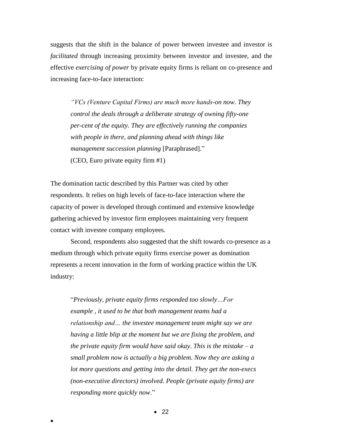suggests that the shift in the balance of power between investee and investor is *facilitated* through increasing proximity between investor and investee, and the effective *exercising of power* by private equity firms is reliant on co-presence and increasing face-to-face interaction:

*"VCs (Venture Capital Firms) are much more hands-on now. They control the deals through a deliberate strategy of owning fifty-one per-cent of the equity. They are effectively running the companies with people in there, and planning ahead with things like management succession planning* [Paraphrased]." (CEO, Euro private equity firm #1)

The domination tactic described by this Partner was cited by other respondents. It relies on high levels of face-to-face interaction where the capacity of power is developed through continued and extensive knowledge gathering achieved by investor firm employees maintaining very frequent contact with investee company employees.

Second, respondents also suggested that the shift towards co-presence as a medium through which private equity firms exercise power as domination represents a recent innovation in the form of working practice within the UK industry:

"*Previously, private equity firms responded too slowly…For example , it used to be that both management teams had a relationship and… the investee management team might say we are having a little blip at the moment but we are fixing the problem, and the private equity firm would have said okay. This is the mistake – a small problem now is actually a big problem. Now they are asking a lot more questions and getting into the detail. They get the non-execs (non-executive directors) involved. People (private equity firms) are responding more quickly now*."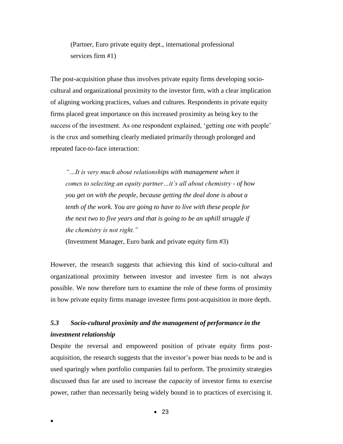(Partner, Euro private equity dept., international professional services firm #1)

The post-acquisition phase thus involves private equity firms developing sociocultural and organizational proximity to the investor firm, with a clear implication of aligning working practices, values and cultures. Respondents in private equity firms placed great importance on this increased proximity as being key to the success of the investment. As one respondent explained, 'getting one with people' is the crux and something clearly mediated primarily through prolonged and repeated face-to-face interaction:

*"…It is very much about relationships with management when it comes to selecting an equity partner…it's all about chemistry - of how you get on with the people, because getting the deal done is about a tenth of the work. You are going to have to live with these people for the next two to five years and that is going to be an uphill struggle if the chemistry is not right."* 

(Investment Manager, Euro bank and private equity firm #3)

However, the research suggests that achieving this kind of socio-cultural and organizational proximity between investor and investee firm is not always possible. We now therefore turn to examine the role of these forms of proximity in how private equity firms manage investee firms post-acquisition in more depth.

## *5.3 Socio-cultural proximity and the management of performance in the investment relationship*

Despite the reversal and empowered position of private equity firms postacquisition, the research suggests that the investor's power bias needs to be and is used sparingly when portfolio companies fail to perform. The proximity strategies discussed thus far are used to increase the *capacity* of investor firms to exercise power, rather than necessarily being widely bound in to practices of exercising it.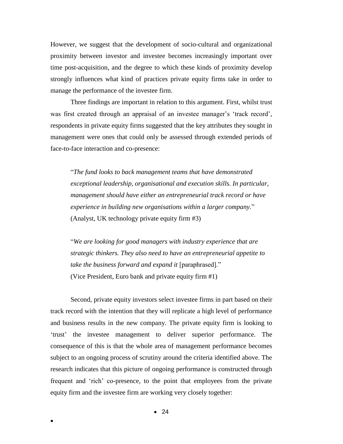However, we suggest that the development of socio-cultural and organizational proximity between investor and investee becomes increasingly important over time post-acquisition, and the degree to which these kinds of proximity develop strongly influences what kind of practices private equity firms take in order to manage the performance of the investee firm.

Three findings are important in relation to this argument. First, whilst trust was first created through an appraisal of an investee manager's 'track record', respondents in private equity firms suggested that the key attributes they sought in management were ones that could only be assessed through extended periods of face-to-face interaction and co-presence:

"*The fund looks to back management teams that have demonstrated exceptional leadership, organisational and execution skills. In particular, management should have either an entrepreneurial track record or have experience in building new organisations within a larger company.*" (Analyst, UK technology private equity firm #3)

"*We are looking for good managers with industry experience that are strategic thinkers. They also need to have an entrepreneurial appetite to take the business forward and expand it* [paraphrased]." (Vice President, Euro bank and private equity firm #1)

Second, private equity investors select investee firms in part based on their track record with the intention that they will replicate a high level of performance and business results in the new company. The private equity firm is looking to 'trust' the investee management to deliver superior performance. The consequence of this is that the whole area of management performance becomes subject to an ongoing process of scrutiny around the criteria identified above. The research indicates that this picture of ongoing performance is constructed through frequent and 'rich' co-presence, to the point that employees from the private equity firm and the investee firm are working very closely together: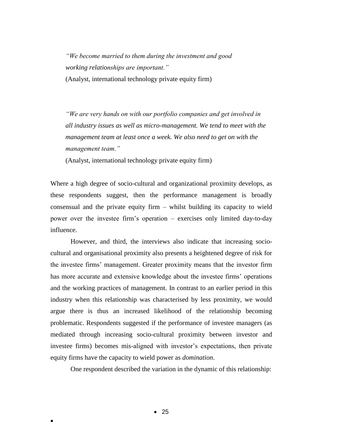*"We become married to them during the investment and good working relationships are important."*  (Analyst, international technology private equity firm)

*"We are very hands on with our portfolio companies and get involved in all industry issues as well as micro-management. We tend to meet with the management team at least once a week. We also need to get on with the management team."* 

(Analyst, international technology private equity firm)

Where a high degree of socio-cultural and organizational proximity develops, as these respondents suggest, then the performance management is broadly consensual and the private equity firm – whilst building its capacity to wield power over the investee firm's operation – exercises only limited day-to-day influence.

However, and third, the interviews also indicate that increasing sociocultural and organisational proximity also presents a heightened degree of risk for the investee firms' management. Greater proximity means that the investor firm has more accurate and extensive knowledge about the investee firms' operations and the working practices of management. In contrast to an earlier period in this industry when this relationship was characterised by less proximity, we would argue there is thus an increased likelihood of the relationship becoming problematic. Respondents suggested if the performance of investee managers (as mediated through increasing socio-cultural proximity between investor and investee firms) becomes mis-aligned with investor's expectations, then private equity firms have the capacity to wield power as *domination*.

One respondent described the variation in the dynamic of this relationship: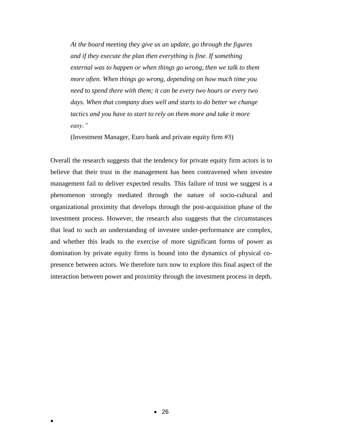*At the board meeting they give us an update, go through the figures and if they execute the plan then everything is fine. If something external was to happen or when things go wrong, then we talk to them more often. When things go wrong, depending on how much time you need to spend there with them; it can be every two hours or every two days. When that company does well and starts to do better we change tactics and you have to start to rely on them more and take it more easy."* 

(Investment Manager, Euro bank and private equity firm #3)

Overall the research suggests that the tendency for private equity firm actors is to believe that their trust in the management has been contravened when investee management fail to deliver expected results. This failure of trust we suggest is a phenomenon strongly mediated through the nature of socio-cultural and organizational proximity that develops through the post-acquisition phase of the investment process. However, the research also suggests that the circumstances that lead to such an understanding of investee under-performance are complex, and whether this leads to the exercise of more significant forms of power as domination by private equity firms is bound into the dynamics of physical copresence between actors. We therefore turn now to explore this final aspect of the interaction between power and proximity through the investment process in depth.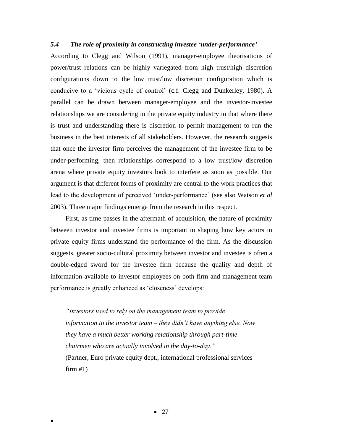## *5.4 The role of proximity in constructing investee 'under-performance'*

According to Clegg and Wilson (1991), manager-employee theorisations of power/trust relations can be highly variegated from high trust/high discretion configurations down to the low trust/low discretion configuration which is conducive to a 'vicious cycle of control' (c.f. Clegg and Dunkerley, 1980). A parallel can be drawn between manager-employee and the investor-investee relationships we are considering in the private equity industry in that where there is trust and understanding there is discretion to permit management to run the business in the best interests of all stakeholders. However, the research suggests that once the investor firm perceives the management of the investee firm to be under-performing, then relationships correspond to a low trust/low discretion arena where private equity investors look to interfere as soon as possible. Our argument is that different forms of proximity are central to the work practices that lead to the development of perceived 'under-performance' (see also Watson *et al* 2003). Three major findings emerge from the research in this respect.

First, as time passes in the aftermath of acquisition, the nature of proximity between investor and investee firms is important in shaping how key actors in private equity firms understand the performance of the firm. As the discussion suggests, greater socio-cultural proximity between investor and investee is often a double-edged sword for the investee firm because the quality and depth of information available to investor employees on both firm and management team performance is greatly enhanced as 'closeness' develops:

*"Investors used to rely on the management team to provide information to the investor team – they didn't have anything else. Now they have a much better working relationship through part-time chairmen who are actually involved in the day-to-day."*  (Partner, Euro private equity dept., international professional services  $firm #1)$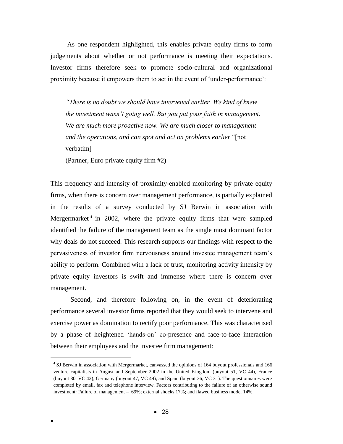As one respondent highlighted, this enables private equity firms to form judgements about whether or not performance is meeting their expectations. Investor firms therefore seek to promote socio-cultural and organizational proximity because it empowers them to act in the event of 'under-performance':

*"There is no doubt we should have intervened earlier. We kind of knew the investment wasn't going well. But you put your faith in management. We are much more proactive now. We are much closer to management and the operations, and can spot and act on problems earlier* "[not verbatim]

(Partner, Euro private equity firm #2)

This frequency and intensity of proximity-enabled monitoring by private equity firms, when there is concern over management performance, is partially explained in the results of a survey conducted by SJ Berwin in association with Mergermarket<sup>4</sup> in 2002, where the private equity firms that were sampled identified the failure of the management team as the single most dominant factor why deals do not succeed. This research supports our findings with respect to the pervasiveness of investor firm nervousness around investee management team's ability to perform. Combined with a lack of trust, monitoring activity intensity by private equity investors is swift and immense where there is concern over management.

Second, and therefore following on, in the event of deteriorating performance several investor firms reported that they would seek to intervene and exercise power as domination to rectify poor performance. This was characterised by a phase of heightened 'hands-on' co-presence and face-to-face interaction between their employees and the investee firm management:

 $\bullet$ 

 $\overline{a}$ 

<sup>&</sup>lt;sup>4</sup> SJ Berwin in association with Mergermarket, canvassed the opinions of 164 buyout professionals and 166 venture capitalists in August and September 2002 in the United Kingdom (buyout 51, VC 44), France (buyout 30, VC 42), Germany (buyout 47, VC 49), and Spain (buyout 36, VC 31). The questionnaires were completed by email, fax and telephone interview. Factors contributing to the failure of an otherwise sound investment: Failure of management – 69%; external shocks 17%; and flawed business model 14%.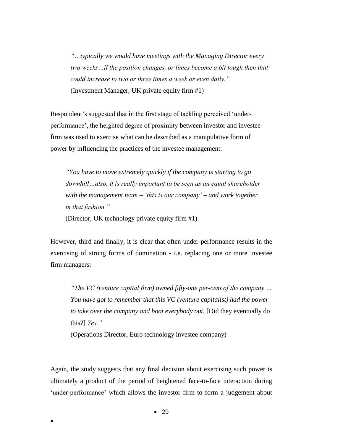*"…typically we would have meetings with the Managing Director every two weeks…if the position changes, or times become a bit tough then that could increase to two or three times a week or even daily."* (Investment Manager, UK private equity firm #1)

Respondent's suggested that in the first stage of tackling perceived 'underperformance', the heighted degree of proximity between investor and investee firm was used to exercise what can be described as a manipulative form of power by influencing the practices of the investee management:

*"You have to move extremely quickly if the company is starting to go downhill…also, it is really important to be seen as an equal shareholder with the management team – 'this is our company' – and work together in that fashion."* (Director, UK technology private equity firm #1)

However, third and finally, it is clear that often under-performance results in the exercising of strong forms of domination - i.e. replacing one or more investee firm managers:

*"The VC (venture capital firm) owned fifty-one per-cent of the company … You have got to remember that this VC (venture capitalist) had the power to take over the company and boot everybody out.* [Did they eventually do this?] *Yes."* 

(Operations Director, Euro technology investee company)

Again, the study suggests that any final decision about exercising such power is ultimately a product of the period of heightened face-to-face interaction during 'under-performance' which allows the investor firm to form a judgement about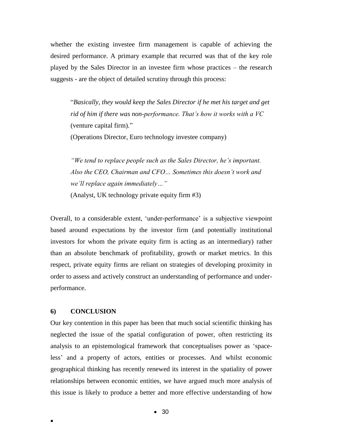whether the existing investee firm management is capable of achieving the desired performance. A primary example that recurred was that of the key role played by the Sales Director in an investee firm whose practices – the research suggests - are the object of detailed scrutiny through this process:

"*Basically, they would keep the Sales Director if he met his target and get rid of him if there was non-performance. That's how it works with a VC*  (venture capital firm)*.*" (Operations Director, Euro technology investee company)

*"We tend to replace people such as the Sales Director, he's important. Also the CEO, Chairman and CFO… Sometimes this doesn't work and we'll replace again immediately…"* 

(Analyst, UK technology private equity firm #3)

Overall, to a considerable extent, 'under-performance' is a subjective viewpoint based around expectations by the investor firm (and potentially institutional investors for whom the private equity firm is acting as an intermediary) rather than an absolute benchmark of profitability, growth or market metrics. In this respect, private equity firms are reliant on strategies of developing proximity in order to assess and actively construct an understanding of performance and underperformance.

### **6) CONCLUSION**

 $\bullet$ 

Our key contention in this paper has been that much social scientific thinking has neglected the issue of the spatial configuration of power, often restricting its analysis to an epistemological framework that conceptualises power as 'spaceless' and a property of actors, entities or processes. And whilst economic geographical thinking has recently renewed its interest in the spatiality of power relationships between economic entities, we have argued much more analysis of this issue is likely to produce a better and more effective understanding of how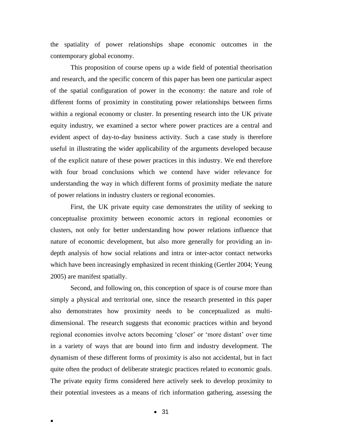the spatiality of power relationships shape economic outcomes in the contemporary global economy.

This proposition of course opens up a wide field of potential theorisation and research, and the specific concern of this paper has been one particular aspect of the spatial configuration of power in the economy: the nature and role of different forms of proximity in constituting power relationships between firms within a regional economy or cluster. In presenting research into the UK private equity industry, we examined a sector where power practices are a central and evident aspect of day-to-day business activity. Such a case study is therefore useful in illustrating the wider applicability of the arguments developed because of the explicit nature of these power practices in this industry. We end therefore with four broad conclusions which we contend have wider relevance for understanding the way in which different forms of proximity mediate the nature of power relations in industry clusters or regional economies.

First, the UK private equity case demonstrates the utility of seeking to conceptualise proximity between economic actors in regional economies or clusters, not only for better understanding how power relations influence that nature of economic development, but also more generally for providing an indepth analysis of how social relations and intra or inter-actor contact networks which have been increasingly emphasized in recent thinking (Gertler 2004; Yeung 2005) are manifest spatially.

Second, and following on, this conception of space is of course more than simply a physical and territorial one, since the research presented in this paper also demonstrates how proximity needs to be conceptualized as multidimensional. The research suggests that economic practices within and beyond regional economies involve actors becoming 'closer' or 'more distant' over time in a variety of ways that are bound into firm and industry development. The dynamism of these different forms of proximity is also not accidental, but in fact quite often the product of deliberate strategic practices related to economic goals. The private equity firms considered here actively seek to develop proximity to their potential investees as a means of rich information gathering, assessing the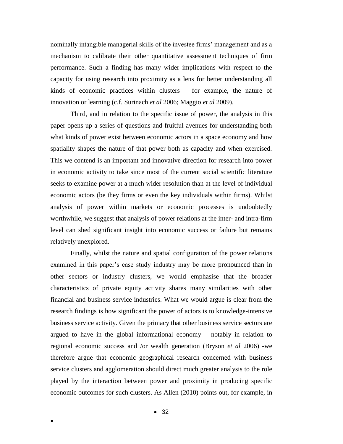nominally intangible managerial skills of the investee firms' management and as a mechanism to calibrate their other quantitative assessment techniques of firm performance. Such a finding has many wider implications with respect to the capacity for using research into proximity as a lens for better understanding all kinds of economic practices within clusters – for example, the nature of innovation or learning (c.f. Surinach *et al* 2006; Maggio *et al* 2009).

Third, and in relation to the specific issue of power, the analysis in this paper opens up a series of questions and fruitful avenues for understanding both what kinds of power exist between economic actors in a space economy and how spatiality shapes the nature of that power both as capacity and when exercised. This we contend is an important and innovative direction for research into power in economic activity to take since most of the current social scientific literature seeks to examine power at a much wider resolution than at the level of individual economic actors (be they firms or even the key individuals within firms). Whilst analysis of power within markets or economic processes is undoubtedly worthwhile, we suggest that analysis of power relations at the inter- and intra-firm level can shed significant insight into economic success or failure but remains relatively unexplored.

Finally, whilst the nature and spatial configuration of the power relations examined in this paper's case study industry may be more pronounced than in other sectors or industry clusters, we would emphasise that the broader characteristics of private equity activity shares many similarities with other financial and business service industries. What we would argue is clear from the research findings is how significant the power of actors is to knowledge-intensive business service activity. Given the primacy that other business service sectors are argued to have in the global informational economy – notably in relation to regional economic success and /or wealth generation (Bryson *et al* 2006) -we therefore argue that economic geographical research concerned with business service clusters and agglomeration should direct much greater analysis to the role played by the interaction between power and proximity in producing specific economic outcomes for such clusters. As Allen (2010) points out, for example, in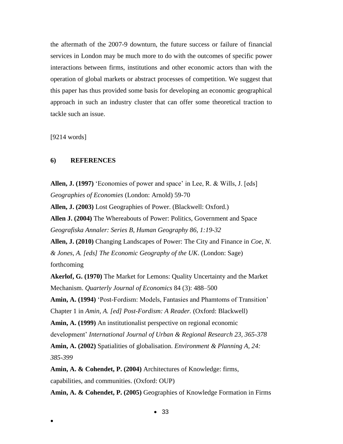the aftermath of the 2007-9 downturn, the future success or failure of financial services in London may be much more to do with the outcomes of specific power interactions between firms, institutions and other economic actors than with the operation of global markets or abstract processes of competition. We suggest that this paper has thus provided some basis for developing an economic geographical approach in such an industry cluster that can offer some theoretical traction to tackle such an issue.

[9214 words]

 $\bullet$ 

### **6) REFERENCES**

**Allen, J. (1997)** 'Economies of power and space' in Lee, R. & Wills, J. [eds] *Geographies of Economies* (London: Arnold) 59-70

**Allen, J. (2003)** Lost Geographies of Power. (Blackwell: Oxford.)

**Allen J. (2004)** The Whereabouts of Power: Politics, Government and Space *Geografiska Annaler: Series B, Human Geography 86, 1:19-32*

**Allen, J. (2010)** Changing Landscapes of Power: The City and Finance in *Coe, N. & Jones, A. [eds] The Economic Geography of the UK*. (London: Sage) forthcoming

**Akerlof, G. (1970)** The Market for Lemons: Quality Uncertainty and the Market Mechanism. *Quarterly Journal of Economics* 84 (3): 488–500

**Amin, A. (1994)** 'Post-Fordism: Models, Fantasies and Phamtoms of Transition' Chapter 1 in *Amin, A. [ed] Post-Fordism: A Reader.* (Oxford: Blackwell)

**Amin, A. (1999)** An institutionalist perspective on regional economic development' *International Journal of Urban & Regional Research 23, 365-378*

**Amin, A. (2002)** Spatialities of globalisation. *Environment & Planning A, 24: 385-399*

**Amin, A. & Cohendet, P. (2004)** Architectures of Knowledge: firms, capabilities, and communities. (Oxford: OUP)

**Amin, A. & Cohendet, P. (2005)** Geographies of Knowledge Formation in Firms

 $• 33$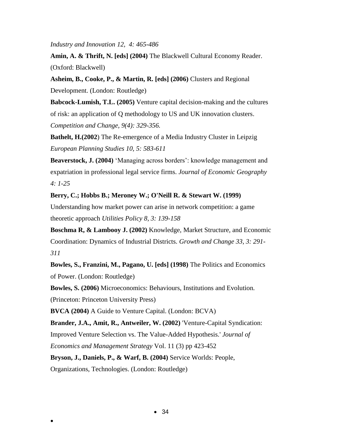*Industry and Innovation 12, 4: 465-486*

**Amin, A. & Thrift, N. [eds] (2004)** The Blackwell Cultural Economy Reader. (Oxford: Blackwell)

**Asheim, B., Cooke, P., & Martin, R. [eds] (2006)** Clusters and Regional Development. (London: Routledge)

**Babcock-Lumish, T.L. (2005)** Venture capital decision-making and the cultures of risk: an application of Q methodology to US and UK innovation clusters.

*Competition and Change, 9(4): 329-356.* 

**Bathelt, H.(2002**) The Re-emergence of a Media Industry Cluster in Leipzig *European Planning Studies 10, 5: 583-611*

**Beaverstock, J. (2004)** 'Managing across borders': knowledge management and expatriation in professional legal service firms. *Journal of Economic Geography 4: 1-25*

**Berry, C.; Hobbs B.; Meroney W.; O'Neill R. & Stewart W. (1999)**

Understanding how market power can arise in network competition: a game theoretic approach *Utilities Policy 8, 3: 139-158*

**Boschma R, & Lambooy J. (2002)** Knowledge, Market Structure, and Economic Coordination: Dynamics of Industrial Districts. *Growth and Change 33, 3: 291- 311*

**Bowles, S., Franzini, M., Pagano, U. [eds] (1998)** The Politics and Economics of Power. (London: Routledge)

**Bowles, S. (2006)** Microeconomics: Behaviours, Institutions and Evolution.

(Princeton: Princeton University Press)

 $\bullet$ 

**BVCA (2004)** A Guide to Venture Capital. (London: BCVA)

**Brander, J.A., Amit, R., Antweiler, W. (2002)** 'Venture-Capital Syndication:

Improved Venture Selection vs. The Value-Added Hypothesis.' *Journal of*

*Economics and Management Strategy* Vol. 11 (3) pp 423-452

**Bryson, J., Daniels, P., & Warf, B. (2004)** Service Worlds: People,

Organizations, Technologies. (London: Routledge)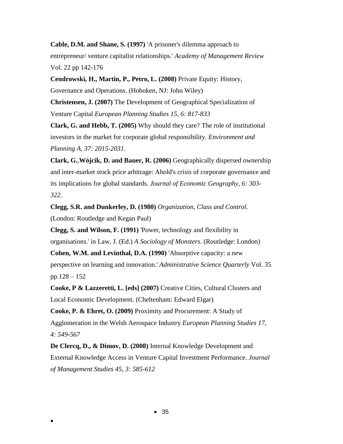**Cable, D.M. and Shane, S. (1997)** 'A prisoner's dilemma approach to entrepreneur/ venture capitalist relationships.' *Academy of Management Review* Vol. 22 pp 142-176

**Cendrowski, H., Martin, P., Petro, L. (2008)** Private Equity: History,

Governance and Operations. (Hoboken, NJ: John Wiley)

**Christensen, J. (2007)** The Development of Geographical Specialization of Venture Capital *European Planning Studies 15, 6: 817-833*

**Clark, G. and Hebb, T. (2005)** [Why should they care? The role of institutional](http://dx.doi.org/10.1068/a38116)  [investors in the market for corporate global responsibility.](http://dx.doi.org/10.1068/a38116) *Environment and Planning A, 37: 2015-2031.* 

**Clark, G.**,**Wójcik, D. and Bauer, R. (2006)** Geographically dispersed ownership and inter-market stock price arbitrage: Ahold's crisis of corporate governance and its implications for global standards. *Journal of Economic Geography, 6: 303- 322.*

**Clegg, S.R. and Dunkerley, D. (1980)** *Organization, Class and Control*. (London: Routledge and Kegan Paul)

**Clegg, S. and Wilson, F. (1991)** 'Power, technology and flexibility in

organisations.' in Law, J. (Ed.) *A Sociology of Monsters*. (Routledge: London)

**Cohen, W.M. and Levinthal, D.A. (1990)** 'Absorptive capacity: a new perspective on learning and innovation.' *Administrative Science Quarterly* Vol. 35 pp.128 – 152

**Cooke, P & Lazzeretti, L. [eds] (2007)** Creative Cities, Cultural Clusters and Local Economic Development. (Cheltenham: Edward Elgar)

**Cooke, P. & Ehret, O. (2009)** Proximity and Procurement: A Study of Agglomeration in the Welsh Aerospace Industry *European Planning Studies 17, 4: 549-567*

**De Clercq, D., & Dimov, D. (2008)** Internal Knowledge Development and External Knowledge Access in Venture Capital Investment Performance*. Journal of Management Studies 45, 3: 585-612*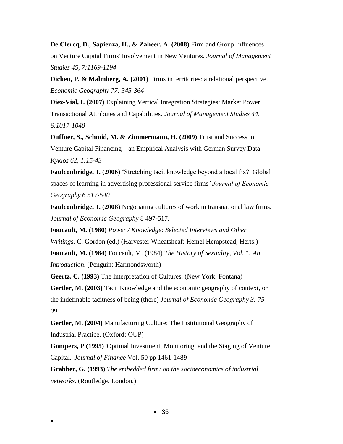**De Clercq, D., Sapienza, H., & Zaheer, A. (2008)** Firm and Group Influences on Venture Capital Firms' Involvement in New Ventures*. Journal of Management Studies 45, 7:1169-1194*

**Dicken, P. & Malmberg, A. (2001)** Firms in territories: a relational perspective. *Economic Geography 77: 345-364*

**Diez-Vial, I. (2007)** Explaining Vertical Integration Strategies: Market Power, Transactional Attributes and Capabilities. *Journal of Management Studies 44, 6:1017-1040*

**Duffner, S., Schmid, M. & Zimmermann, H. (2009)** Trust and Success in Venture Capital Financing—an Empirical Analysis with German Survey Data. *Kyklos 62, 1:15-43*

**Faulconbridge, J. (2006)** 'Stretching tacit knowledge beyond a local fix? Global spaces of learning in advertising professional service firms*' Journal of Economic Geography 6 517-540*

**Faulconbridge, J. (2008)** Negotiating cultures of work in transnational law firms. *Journal of Economic Geography* 8 497-517.

**Foucault, M. (1980)** *Power / Knowledge: Selected Interviews and Other Writings.* C. Gordon (ed.) (Harvester Wheatsheaf: Hemel Hempstead, Herts.)

**Foucault, M. (1984)** Foucault, M. (1984) *The History of Sexuality, Vol. 1: An Introduction*. (Penguin: Harmondsworth)

**Geertz, C. (1993)** The Interpretation of Cultures. (New York: Fontana)

**Gertler, M. (2003)** Tacit Knowledge and the economic geography of context, or the indefinable tacitness of being (there) *Journal of Economic Geography 3: 75- 99*

**Gertler, M. (2004)** Manufacturing Culture: The Institutional Geography of Industrial Practice. (Oxford: OUP)

**Gompers, P (1995)** 'Optimal Investment, Monitoring, and the Staging of Venture Capital.' *Journal of Finance* Vol. 50 pp 1461-1489

**Grabher, G. (1993)** *The embedded firm: on the socioeconomics of industrial networks*. (Routledge. London.)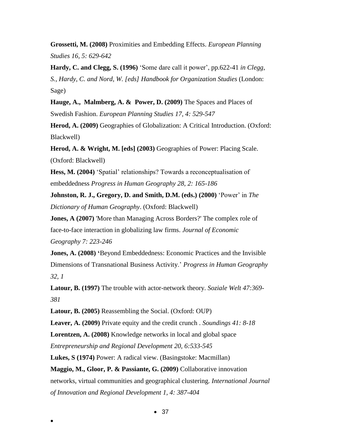**Grossetti, M. (2008)** Proximities and Embedding Effects. *European Planning Studies 16, 5: 629-642*

**Hardy, C. and Clegg, S. (1996)** 'Some dare call it power', pp.622-41 *in Clegg, S., Hardy, C. and Nord, W. [eds] Handbook for Organization Studies* (London: Sage)

**Hauge, A., Malmberg, A. & Power, D. (2009)** The Spaces and Places of Swedish Fashion. *European Planning Studies 17, 4: 529-547*

**Herod, A. (2009)** Geographies of Globalization: A Critical Introduction. (Oxford: Blackwell)

**Herod, A. & Wright, M. [eds] (2003)** Geographies of Power: Placing Scale. (Oxford: Blackwell)

**Hess, M. (2004)** 'Spatial' relationships? Towards a reconceptualisation of embeddedness *Progress in Human Geography 28, 2: 165-186*

**Johnston, R. J., Gregory, D. and Smith, D.M. (eds.) (2000)** 'Power' in *The Dictionary of Human Geography*. (Oxford: Blackwell)

**Jones, A (2007)** 'More than Managing Across Borders?' The complex role of face-to-face interaction in globalizing law firms. *Journal of Economic Geography 7: 223-246*

**Jones, A. (2008) '**Beyond Embeddedness: Economic Practices and the Invisible Dimensions of Transnational Business Activity.' *Progress in Human Geography 32, 1*

**Latour, B. (1997)** The trouble with actor-network theory. *Soziale Welt 47:369- 381*

**Latour, B. (2005)** Reassembling the Social. (Oxford: OUP)

**Leaver, A. (2009)** Private equity and the credit crunch *. Soundings 41: 8-18*

**Lorentzen, A. (2008)** Knowledge networks in local and global space

*Entrepreneurship and Regional Development 20, 6:533-545*

 $\bullet$ 

**Lukes, S (1974)** Power: A radical view. (Basingstoke: Macmillan)

**Maggio, M., Gloor, P. & Passiante, G. (2009)** Collaborative innovation networks, virtual communities and geographical clustering. *International Journal of Innovation and Regional Development 1, 4: 387-404*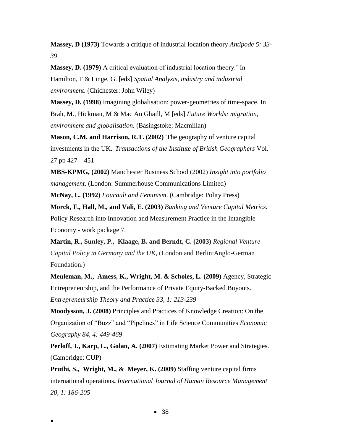**Massey, D (1973)** Towards a critique of industrial location theory *Antipode 5: 33- 39*

**Massey, D. (1979)** A critical evaluation of industrial location theory.' In Hamilton, F & Linge, G. [eds] *Spatial Analysis, industry and industrial environment*. (Chichester: John Wiley)

**Massey, D. (1998)** Imagining globalisation: power-geometries of time-space. In Brah, M., Hickman, M & Mac An Ghaill, M [eds] *Future Worlds: migration, environment and globalisation.* (Basingstoke: Macmillan)

**Mason, C.M. and Harrison, R.T. (2002)** 'The geography of venture capital investments in the UK.' *Transactions of the Institute of British Geographers* Vol. 27 pp 427 – 451

**MBS-KPMG, (2002)** Manchester Business School (2002) *Insight into portfolio management*. (London: Summerhouse Communications Limited)

**McNay, L. (1992)** *Foucault and Feminism*. (Cambridge: Polity Press)

**Morck, F., Hall, M., and Vali, E. (2003)** *Banking and Venture Capital Metrics.*  Policy Research into Innovation and Measurement Practice in the Intangible Economy - work package 7.

**Martin, R., Sunley, P., Klaage, B. and Berndt, C. (2003)** *Regional Venture Capital Policy in Germany and the UK*, (London and Berlin:Anglo-German Foundation.)

**Meuleman, M., Amess, K., Wright, M. & Scholes, L. (2009)** Agency, Strategic Entrepreneurship, and the Performance of Private Equity-Backed Buyouts. *Entrepreneurship Theory and Practice 33, 1: 213-239*

**Moodysson, J. (2008)** Principles and Practices of Knowledge Creation: On the Organization of "Buzz" and "Pipelines" in Life Science Communities *Economic Geography 84, 4: 449-469*

**Perloff, J., Karp, L., Golan, A. (2007)** Estimating Market Power and Strategies. (Cambridge: CUP)

**Pruthi, S., Wright, M., & Meyer, K. (2009)** Staffing venture capital firms international operations**.** *International Journal of Human Resource Management 20, 1: 186-205*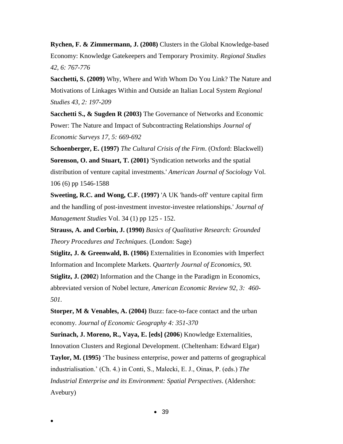**Rychen, F. & Zimmermann, J. (2008)** Clusters in the Global Knowledge-based Economy: Knowledge Gatekeepers and Temporary Proximity*. Regional Studies 42, 6: 767-776*

**Sacchetti, S. (2009)** Why, Where and With Whom Do You Link? The Nature and Motivations of Linkages Within and Outside an Italian Local System *Regional Studies 43, 2: 197-209*

**Sacchetti S., & Sugden R (2003)** The Governance of Networks and Economic Power: The Nature and Impact of Subcontracting Relationships *Journal of Economic Surveys 17, 5: 669-692*

**Schoenberger, E. (1997)** *The Cultural Crisis of the Firm*. (Oxford: Blackwell) **Sorenson, O. and Stuart, T. (2001)** 'Syndication networks and the spatial distribution of venture capital investments.' *American Journal of Sociology* Vol. 106 (6) pp 1546-1588

**Sweeting, R.C. and Wong, C.F. (1997)** 'A UK 'hands-off' venture capital firm and the handling of post-investment investor-investee relationships.' *Journal of Management Studies* Vol. 34 (1) pp 125 - 152.

**Strauss, A. and Corbin, J. (1990)** *Basics of Qualitative Research: Grounded Theory Procedures and Techniques*. (London: Sage)

**Stiglitz, J. & Greenwald, B. (1986)** Externalities in Economies with Imperfect Information and Incomplete Markets. *Quarterly Journal of Economics, 90.*

**Stiglitz, J. (2002**) Information and the Change in the Paradigm in Economics, abbreviated version of Nobel lecture, *American Economic Review 92, 3: 460- 501.* 

**Storper, M & Venables, A. (2004)** Buzz: face-to-face contact and the urban economy. *Journal of Economic Geography 4: 351-370*

**Surinach, J. Moreno, R., Vaya, E. [eds] (2006**) Knowledge Externalities, Innovation Clusters and Regional Development. (Cheltenham: Edward Elgar)

**Taylor, M. (1995)** 'The business enterprise, power and patterns of geographical industrialisation.' (Ch. 4.) in Conti, S., Malecki, E. J., Oinas, P. (eds.) *The Industrial Enterprise and its Environment: Spatial Perspectives*. (Aldershot: Avebury)